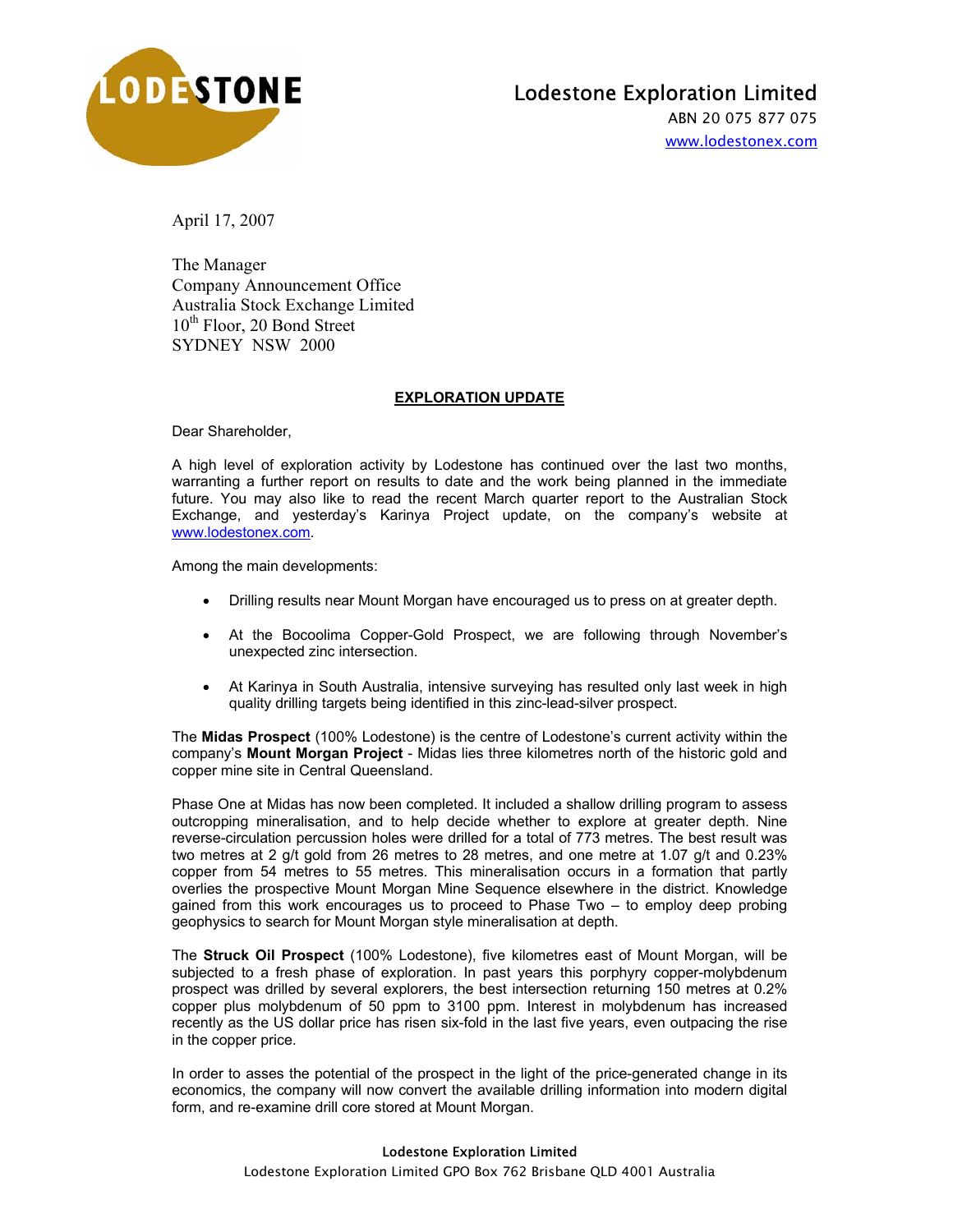

## Lodestone Exploration Limited

ABN 20 075 877 075 www.lodestonex.com

April 17, 2007

The Manager Company Announcement Office Australia Stock Exchange Limited 10<sup>th</sup> Floor, 20 Bond Street SYDNEY NSW 2000

## **EXPLORATION UPDATE**

Dear Shareholder,

A high level of exploration activity by Lodestone has continued over the last two months, warranting a further report on results to date and the work being planned in the immediate future. You may also like to read the recent March quarter report to the Australian Stock Exchange, and yesterday's Karinya Project update, on the company's website at www.lodestonex.com.

Among the main developments:

- Drilling results near Mount Morgan have encouraged us to press on at greater depth.
- At the Bocoolima Copper-Gold Prospect, we are following through November's unexpected zinc intersection.
- At Karinya in South Australia, intensive surveying has resulted only last week in high quality drilling targets being identified in this zinc-lead-silver prospect.

The **Midas Prospect** (100% Lodestone) is the centre of Lodestone's current activity within the company's **Mount Morgan Project** - Midas lies three kilometres north of the historic gold and copper mine site in Central Queensland.

Phase One at Midas has now been completed. It included a shallow drilling program to assess outcropping mineralisation, and to help decide whether to explore at greater depth. Nine reverse-circulation percussion holes were drilled for a total of 773 metres. The best result was two metres at 2 g/t gold from 26 metres to 28 metres, and one metre at 1.07 g/t and 0.23% copper from 54 metres to 55 metres. This mineralisation occurs in a formation that partly overlies the prospective Mount Morgan Mine Sequence elsewhere in the district. Knowledge gained from this work encourages us to proceed to Phase Two – to employ deep probing geophysics to search for Mount Morgan style mineralisation at depth.

The **Struck Oil Prospect** (100% Lodestone), five kilometres east of Mount Morgan, will be subjected to a fresh phase of exploration. In past years this porphyry copper-molybdenum prospect was drilled by several explorers, the best intersection returning 150 metres at 0.2% copper plus molybdenum of 50 ppm to 3100 ppm. Interest in molybdenum has increased recently as the US dollar price has risen six-fold in the last five years, even outpacing the rise in the copper price.

In order to asses the potential of the prospect in the light of the price-generated change in its economics, the company will now convert the available drilling information into modern digital form, and re-examine drill core stored at Mount Morgan.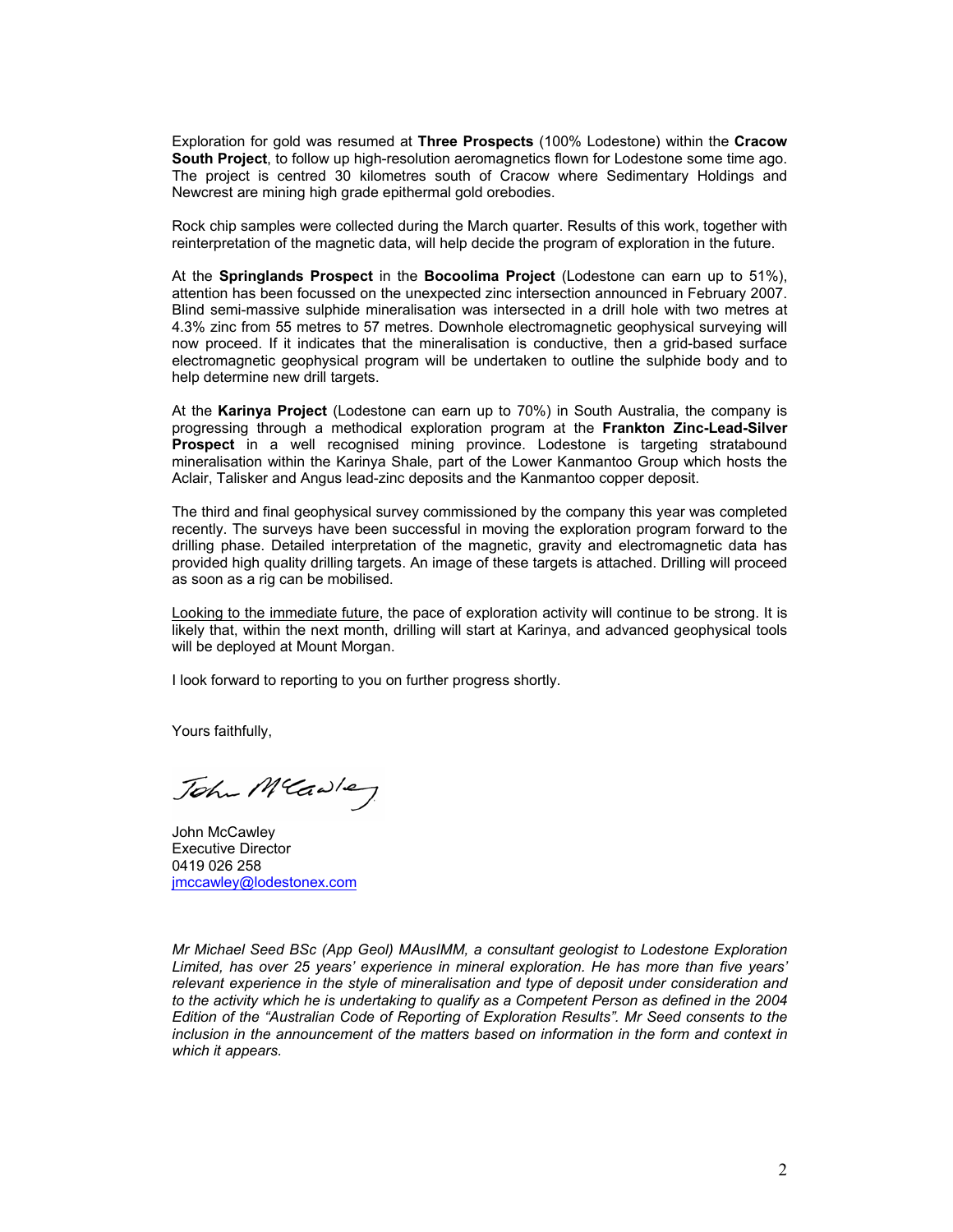Exploration for gold was resumed at **Three Prospects** (100% Lodestone) within the **Cracow South Project**, to follow up high-resolution aeromagnetics flown for Lodestone some time ago. The project is centred 30 kilometres south of Cracow where Sedimentary Holdings and Newcrest are mining high grade epithermal gold orebodies.

Rock chip samples were collected during the March quarter. Results of this work, together with reinterpretation of the magnetic data, will help decide the program of exploration in the future.

At the **Springlands Prospect** in the **Bocoolima Project** (Lodestone can earn up to 51%), attention has been focussed on the unexpected zinc intersection announced in February 2007. Blind semi-massive sulphide mineralisation was intersected in a drill hole with two metres at 4.3% zinc from 55 metres to 57 metres. Downhole electromagnetic geophysical surveying will now proceed. If it indicates that the mineralisation is conductive, then a grid-based surface electromagnetic geophysical program will be undertaken to outline the sulphide body and to help determine new drill targets.

At the **Karinya Project** (Lodestone can earn up to 70%) in South Australia, the company is progressing through a methodical exploration program at the **Frankton Zinc-Lead-Silver Prospect** in a well recognised mining province. Lodestone is targeting stratabound mineralisation within the Karinya Shale, part of the Lower Kanmantoo Group which hosts the Aclair, Talisker and Angus lead-zinc deposits and the Kanmantoo copper deposit.

The third and final geophysical survey commissioned by the company this year was completed recently. The surveys have been successful in moving the exploration program forward to the drilling phase. Detailed interpretation of the magnetic, gravity and electromagnetic data has provided high quality drilling targets. An image of these targets is attached. Drilling will proceed as soon as a rig can be mobilised.

Looking to the immediate future, the pace of exploration activity will continue to be strong. It is likely that, within the next month, drilling will start at Karinya, and advanced geophysical tools will be deployed at Mount Morgan.

I look forward to reporting to you on further progress shortly.

Yours faithfully,

John MCawley

John McCawley Executive Director 0419 026 258 jmccawley@lodestonex.com

*Mr Michael Seed BSc (App Geol) MAusIMM, a consultant geologist to Lodestone Exploration Limited, has over 25 years' experience in mineral exploration. He has more than five years' relevant experience in the style of mineralisation and type of deposit under consideration and*  to the activity which he is undertaking to qualify as a Competent Person as defined in the 2004 *Edition of the "Australian Code of Reporting of Exploration Results". Mr Seed consents to the*  inclusion in the announcement of the matters based on information in the form and context in *which it appears.*